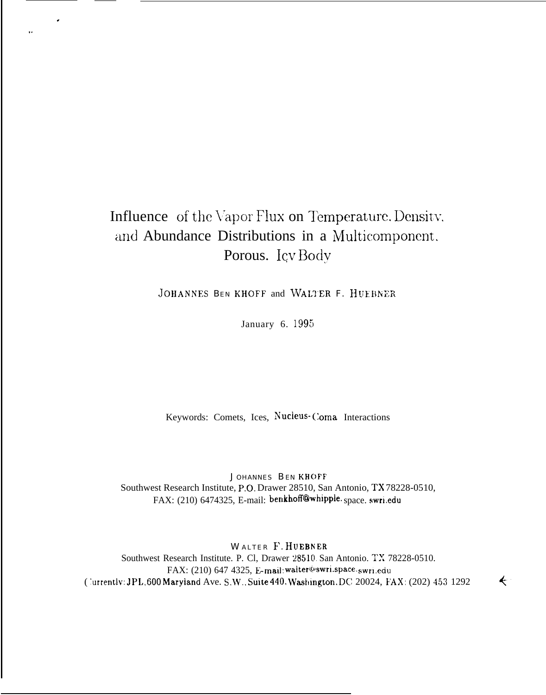# Influence of the Vapor Flux on Temperature. Density, and Abundance Distributions in a Multicomponent. Porous. Icv Body

.

,.

JOHANNES BEN KHOFF and WALTER F. HUEBNER

January 6. 1995

Keywords: Comets, Ices, Nucleus- (`oma Interactions

J OHANNES BEN KHOFF Southwest Research Institute, P.O. Drawer 28510, San Antonio, TX 78228-0510, FAX: (210) 6474325, E-mail: benkhoff@whipple. space. swri.edu

WALTER F. HUEBNER Southwest Research Institute. P. Cl, Drawer 28510 San Antonio. TX 78228-0510. FAX: (210) 647 4325, E-mail: walter@swri.space. swri.edu ( 'urrently: JPL,  $600$  Maryland Ave. S.W., Suite 440, Washington, DC 20024, FAX: (202) 453 1292

 $\leftarrow$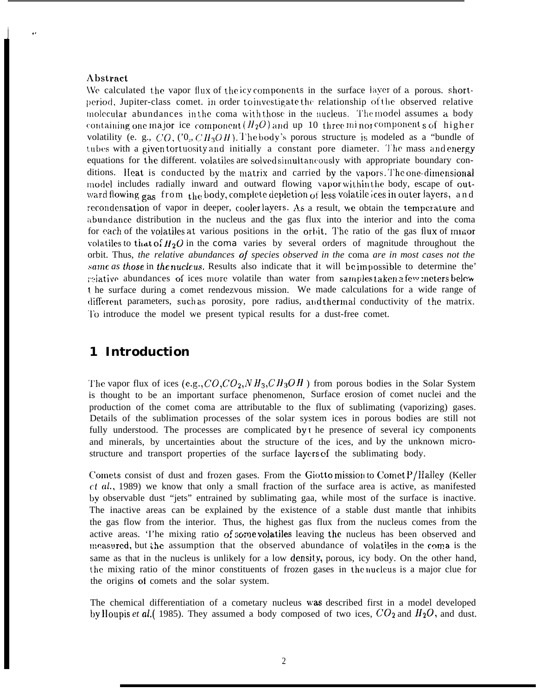#### **Abstract**

We calculated the vapor flux of the icy components in the surface layer of a porous. shortperiod, Jupiter-class comet. in order to investigate the relationship of the observed relative molecular abundances in the coma with those in the nucleus. The model assumes a body containing one major ice component  $(H_2O)$  and up 10 three minor components of higher volatility (e. g., CO, CO, CH<sub>3</sub>OH). The body's porous structure is modeled as a "bundle of tubes with a given tortuosity and initially a constant pore diameter. The mass and energy equations for the different. volatiles are solved simultaneously with appropriate boundary conditions. Heat is conducted by the matrix and carried by the vapors. The one-dimensional model includes radially inward and outward flowing vapor within the body, escape of outward flowing gas from the body, complete depletion of less volatile ices in outer layers, and recondensation of vapor in deeper, cooler layers. As a result, we obtain the temperature and abundance distribution in the nucleus and the gas flux into the interior and into the coma for each of the volatiles at various positions in the orbit. The ratio of the gas flux of minor volatiles to that of  $H_2O$  in the coma varies by several orders of magnitude throughout the orbit. Thus, the relative abundances of species observed in the coma are in most cases not the same as those in the nucleus. Results also indicate that it will be impossible to determine the' relative abundances of ices more volatile than water from samples taken a few meters below t he surface during a comet rendezvous mission. We made calculations for a wide range of different parameters, such as porosity, pore radius, and thermal conductivity of the matrix. To introduce the model we present typical results for a dust-free comet.

#### 1 Introduction

The vapor flux of ices (e.g.,  $CO$ ,  $CO_2$ ,  $NH_3$ ,  $CH_3OH$ ) from porous bodies in the Solar System is thought to be an important surface phenomenon, Surface erosion of comet nuclei and the production of the comet coma are attributable to the flux of sublimating (vaporizing) gases. Details of the sublimation processes of the solar system ices in porous bodies are still not fully understood. The processes are complicated by t he presence of several icy components and minerals, by uncertainties about the structure of the ices, and by the unknown microstructure and transport properties of the surface layers of the sublimating body.

Comets consist of dust and frozen gases. From the Giottomission to CometP/Halley (Keller  $ct$  al., 1989) we know that only a small fraction of the surface area is active, as manifested by observable dust "jets" entrained by sublimating gaa, while most of the surface is inactive. The inactive areas can be explained by the existence of a stable dust mantle that inhibits the gas flow from the interior. Thus, the highest gas flux from the nucleus comes from the active areas. The mixing ratio of some volatiles leaving the nucleus has been observed and measured, but the assumption that the observed abundance of volatiles in the coma is the same as that in the nucleus is unlikely for a low density, porous, icy body. On the other hand, the mixing ratio of the minor constituents of frozen gases in the nucleus is a major clue for the origins of comets and the solar system.

The chemical differentiation of a cometary nucleus was described first in a model developed by Houpis et al.( 1985). They assumed a body composed of two ices,  $CO_2$  and  $H_2O$ , and dust.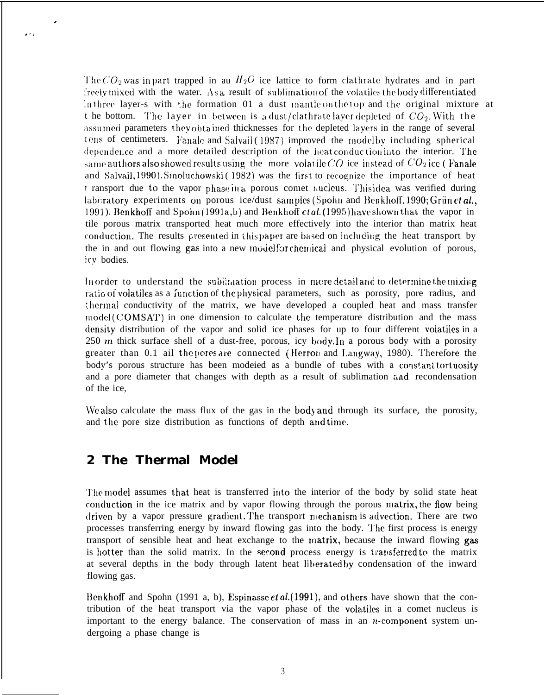The  $CO_2$  was in part trapped in au  $H_2O$  ice lattice to form clathrate hydrates and in part freely mixed with the water. As a result of sublimation of the volatiles the body differentiated in three layer-s with the formation 01 a dust mantle on the top and the original mixture at t he bottom. The layer in between is a dust/clathrate layer depleted of  $CO<sub>2</sub>$ . With the assumed parameters they obtained thicknesses for the depleted layers in the range of several tens of centimeters. Fanale and Salvail (1987) improved the model by including spherical dependence and a more detailed description of the heat conduction into the interior. The same authors also showed results using the more volatile CO ice instead of  $CO<sub>2</sub>$ ice (Fanale and Salvail, 1990). Smoluchowski (1982) was the first to recognize the importance of heat t ransport due to the vapor phase in a porous comet nucleus. This idea was verified during laboratory experiments on porous ice/dust samples (Spohn and Benkhoff, 1990; Grünetal... 1991). Benkhoff and Spohn(1991a,b) and Benkhoff et al. (1995) have shown that the vapor in tile porous matrix transported heat much more effectively into the interior than matrix heat conduction. The results presented in this paper are based on including the heat transport by the in and out flowing gas into a new model for chemical and physical evolution of porous, icy bodies.

In order to understand the sublimation process in more detail and to determine the mixing ratio of volatiles as a function of the physical parameters, such as porosity, pore radius, and thermal conductivity of the matrix, we have developed a coupled heat and mass transfer model (COMSAT) in one dimension to calculate the temperature distribution and the mass density distribution of the vapor and solid ice phases for up to four different volatiles in a 250 m thick surface shell of a dust-free, porous, icy body. In a porous body with a porosity greater than 0.1 ail the pores are connected (Herron and Langway, 1980). Therefore the body's porous structure has been modeled as a bundle of tubes with a constant tortuosity and a pore diameter that changes with depth as a result of sublimation and recondensation of the ice,

We also calculate the mass flux of the gas in the body and through its surface, the porosity, and the pore size distribution as functions of depth and time.

### 2 The Thermal Model

The model assumes that heat is transferred into the interior of the body by solid state heat conduction in the ice matrix and by vapor flowing through the porous matrix, the flow being driven by a vapor pressure gradient. The transport mechanism is advection. There are two processes transferring energy by inward flowing gas into the body. The first process is energy transport of sensible heat and heat exchange to the matrix, because the inward flowing gas is hotter than the solid matrix. In the second process energy is transferred to the matrix at several depths in the body through latent heat liberated by condensation of the inward flowing gas.

Benkhoff and Spohn (1991 a, b), Espinasse *et al.* (1991), and others have shown that the contribution of the heat transport via the vapor phase of the volatiles in a comet nucleus is important to the energy balance. The conservation of mass in an  $n$ -component system undergoing a phase change is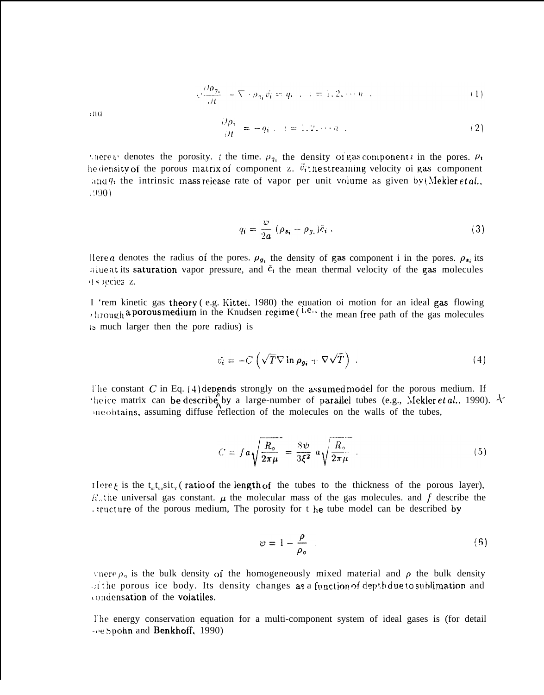$$
\psi \frac{\partial \rho_{\eta_i}}{\partial t} - \nabla \cdot \rho_{\eta_i} \vec{v}_i = q_i \quad , \quad i = 1, 2, \dots n \quad . \tag{1}
$$

 $n<sub>1</sub>$ 

$$
\frac{\partial \rho_i}{\partial t} = -q_i, \quad i = 1, 2, \cdots n \tag{2}
$$

shere *v* denotes the porosity. t the time,  $\rho_{\eta}$ , the density of gas component *i* in the pores.  $\rho_i$ he density of the porous matrix of component z.  $\ddot{v}_i$ the streaming velocity of gas component and  $q_i$  the intrinsic mass release rate of vapor per unit volume as given by (Mekler *et al.*, 1990)

$$
q_i = \frac{w}{2a} \left( \rho_{s_i} - \rho_{g_i} \right) \tilde{c}_i \ . \tag{3}
$$

Here a denotes the radius of the pores.  $\rho_{g_i}$  the density of gas component i in the pores.  $\rho_{g_i}$  its alue at its saturation vapor pressure, and  $\bar{c}_i$  the mean thermal velocity of the gas molecules H species z.

I 'rem kinetic gas theory (e.g. Kittel, 1980) the equation of motion for an ideal gas flowing  $, h_{10}$ ,  $h_{11}$  a porous medium in the Knudsen regime ( $h.e.,$  the mean free path of the gas molecules is much larger then the pore radius) is

$$
\vec{v}_i = -C \left( \sqrt{T} \nabla \ln \rho_{gi} + \nabla \sqrt{T} \right) . \tag{4}
$$

The constant C in Eq. (4) depends strongly on the assumed model for the porous medium. If theice matrix can be describe by a large-number of parallel tubes (e.g., Mekler et al., 1990).  $\pm$ ine obtains, assuming diffuse reflection of the molecules on the walls of the tubes,

$$
C = f a \sqrt{\frac{R_o}{2\pi\mu}} = \frac{8\psi}{3\xi^2} a \sqrt{\frac{R_o}{2\pi\mu}} \tag{5}
$$

Here  $\xi$  is the t<sub>otho</sub>sit<sub>y</sub> (ratio of the length of the tubes to the thickness of the porous layer),  $R_{\alpha}$ the universal gas constant.  $\mu$  the molecular mass of the gas molecules, and f describe the . tructure of the porous medium, The porosity for t he tube model can be described by

$$
\psi = 1 - \frac{\rho}{\rho_o} \quad . \tag{6}
$$

vnere  $\rho_0$  is the bulk density of the homogeneously mixed material and  $\rho$  the bulk density  $\sigma$  if the porous ice body. Its density changes as a function of depth due to sublimation and condensation of the volatiles.

The energy conservation equation for a multi-component system of ideal gases is (for detail see Spohn and Benkhoff, 1990)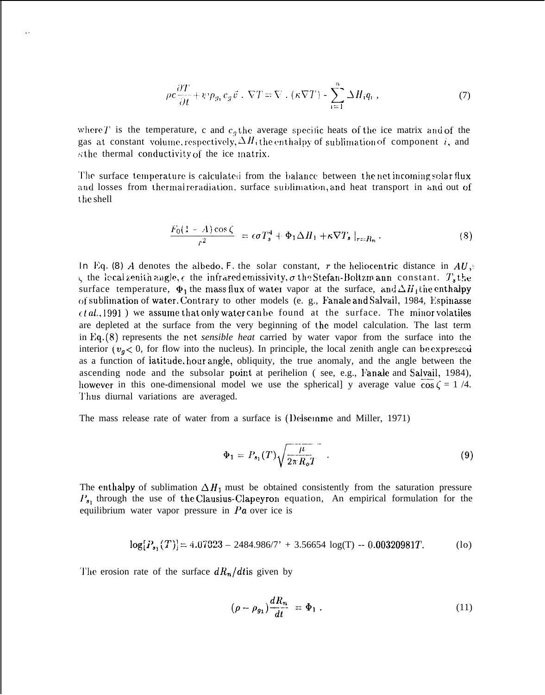$$
\rho c \frac{\partial T}{\partial t} + \psi \rho_{g_i} c_g \vec{v} \cdot \nabla T = \nabla \cdot (\kappa \nabla T) - \sum_{i=1}^{n} \Delta H_i q_i , \qquad (7)
$$

where T is the temperature, c and  $c<sub>q</sub>$  the average specific heats of the ice matrix and of the gas at constant volume, respectively,  $\Delta H_i$  the enthalpy of sublimation of component i, and  $\kappa$ the thermal conductivity of the ice matrix.

The surface temperature is calculated from the balance between the net incoming solar flux and losses from thermal reradiation, surface sublimation, and heat transport in and out of the shell

$$
\frac{F_0(1-A)\cos\zeta}{r^2} = \epsilon \sigma T_s^4 + \Phi_1 \Delta H_1 + \kappa \nabla T_s \big|_{r=R_n} \,. \tag{8}
$$

In Eq. (8) A denotes the albedo, F the solar constant, r the heliocentric distance in  $AU$ .  $\zeta$  the local zenith angle,  $\epsilon$  the infrared emissivity,  $\sigma$  the Stefan-Boltzm ann constant.  $T_s$  the surface temperature,  $\Phi_1$  the mass flux of water vapor at the surface, and  $\Delta H_1$  the enthalpy of sublimation of water. Contrary to other models (e. g., Fanale and Salvail, 1984, Espinasse  $\epsilon t a l$ , 1991) we assume that only water can be found at the surface. The minor volatiles are depleted at the surface from the very beginning of the model calculation. The last term in Eq.  $(8)$  represents the net *sensible heat* carried by water vapor from the surface into the interior ( $v_g < 0$ , for flow into the nucleus). In principle, the local zenith angle can be expressed as a function of latitude, hour angle, obliquity, the true anomaly, and the angle between the ascending node and the subsolar point at perihelion (see, e.g., Fanale and Salvail, 1984), however in this one-dimensional model we use the spherical y average value  $\cos \zeta = 1/4$ . Thus diurnal variations are averaged.

The mass release rate of water from a surface is (Delsemme and Miller, 1971)

$$
\Phi_1 = P_{s_1}(T) \sqrt{\frac{\mu}{2\pi R_o T}} \quad . \tag{9}
$$

The enthalpy of sublimation  $\Delta H_1$  must be obtained consistently from the saturation pressure  $P_{s_1}$  through the use of the Clausius-Clapeyron equation, An empirical formulation for the equilibrium water vapor pressure in  $Pa$  over ice is

$$
\log[P_{s_1}(T)] = 4.07023 - 2484.986/7' + 3.56654 \log(T) - 0.00320981T.
$$
 (lo)

The erosion rate of the surface  $dR_n/dt$  is given by

 $\ddot{\phantom{1}}$ 

$$
(\rho - \rho_{g_1})\frac{dR_n}{dt} = \Phi_1 \tag{11}
$$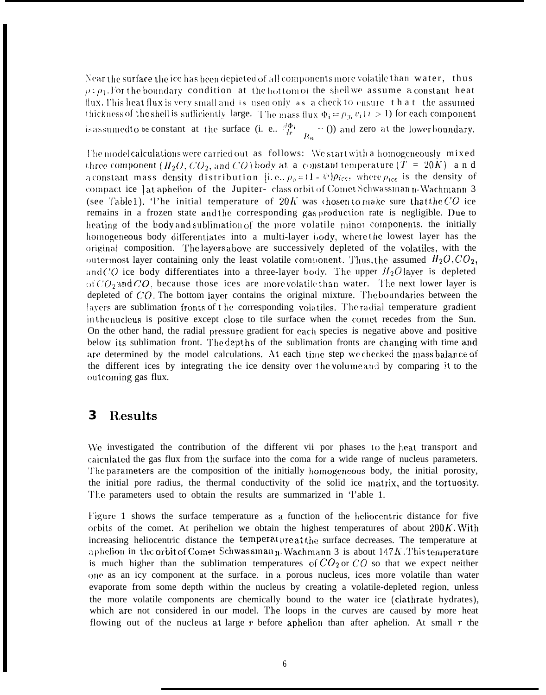Near the surface the ice has been depleted of all components more volatile than water, thus  $\rho$ :  $\rho_1$ . For the boundary condition at the bottom of the shell we assume a constant heat flux. This heat flux is very small and is used only as a check to ensure that the assumed thickness of the shell is sufficiently large. The mass flux  $\Phi_i = \rho_{i1} v_i$  ( $i > 1$ ) for each component is assumed to be constant at the surface (i. e.,  $\frac{d\Phi_i}{dr}$  = 0) and zero at the lower boundary.

The model calculations were carried out as follows: We start with a homogeneously mixed three component ( $H_2O$ ,  $CO_2$ , and  $CO$ ) body at a constant temperature ( $T = 20K$ ) and a constant mass density distribution [i.e.,  $\rho_o = (1 - \psi)\rho_{ice}$ , where  $\rho_{ice}$  is the density of compact ice ] at aphelion of the Jupiter- class orbit of Comet Schwassman n-Wachmann 3 (see Table 1). The initial temperature of 20K was chosen to make sure that the CO ice remains in a frozen state and the corresponding gas production rate is negligible. Due to heating of the body and sublimation of the more volatile minor components, the initially homogeneous body differentiates into a multi-layer body, where the lowest layer has the original composition. The layers above are successively depleted of the volatiles, with the outermost layer containing only the least volatile component. Thus, the assumed  $H_2O$ ,  $CO_2$ , and CO ice body differentiates into a three-layer body. The upper  $H_2O$  layer is depleted of  $CO<sub>2</sub>$  and CO, because those ices are more volatile than water. The next lower layer is depleted of  $CO$ . The bottom layer contains the original mixture. The boundaries between the layers are sublimation fronts of the corresponding volatiles. The radial temperature gradient in the nucleus is positive except close to tile surface when the comet recedes from the Sun. On the other hand, the radial pressure gradient for each species is negative above and positive below its sublimation front. The dept hs of the sublimation fronts are changing with time and are determined by the model calculations. At each time step we checked the mass balance of the different ices by integrating the ice density over the volume and by comparing it to the outcoming gas flux.

#### **Results**  $\bf{3}$

We investigated the contribution of the different vii por phases to the heat transport and calculated the gas flux from the surface into the coma for a wide range of nucleus parameters. The parameters are the composition of the initially homogeneous body, the initial porosity, the initial pore radius, the thermal conductivity of the solid ice matrix, and the tortuosity. The parameters used to obtain the results are summarized in 'l'able 1.

Figure 1 shows the surface temperature as a function of the heliocentric distance for five orbits of the comet. At perihelion we obtain the highest temperatures of about  $200K$ . With increasing heliocentric distance the temperature at the surface decreases. The temperature at a phelion in the orbit of Comet Schwassman n-Wachmann 3 is about  $147K$ . This temperature is much higher than the sublimation temperatures of  $CO_2$  or  $CO$  so that we expect neither one as an icy component at the surface. in a porous nucleus, ices more volatile than water evaporate from some depth within the nucleus by creating a volatile-depleted region, unless the more volatile components are chemically bound to the water ice (clathrate hydrates), which are not considered in our model. The loops in the curves are caused by more heat flowing out of the nucleus at large  $r$  before aphelion than after aphelion. At small  $r$  the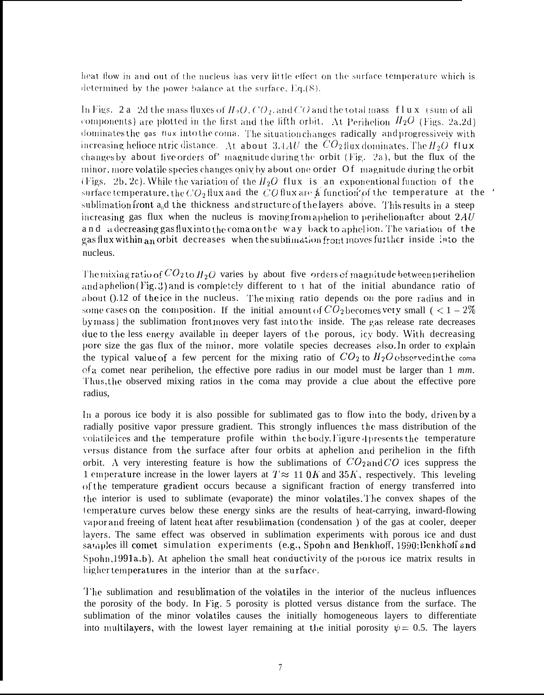heat flow in and out of the nucleus has very little effect on the surface temperature which is determined by the power balance at the surface,  $Eq.(8)$ .

In Figs. 2a 2d the mass fluxes of  $H_2O$ ,  $CO_2$ , and  $CO$  and the total mass flux (sum of all components) are plotted in the first and the fifth orbit. At Perihelion  $H_2O$  (Figs. 2a,2d) dominates the gas flux into the coma. The situation changes radically and progressively with increasing helioce ntric distance. At about 3.4 AU the  $CO_2$  flux dominates. The  $H_2O$  flux changes by about five orders of' magnitude during the orbit (Fig. 2a), but the flux of the minor, more volatile species changes only by about one order Of magnitude during the orbit (Figs. 2b, 2c). While the variation of the  $H_2O$  flux is an exponentional function of the surface temperature, the  $CO_2$  flux and the CO flux are  $\AA$  function of the temperature at the ' sublimation front  $a_n d$  the thickness and structure of the layers above. This results in a steep increasing gas flux when the nucleus is moving from aphelion to perihelion after about  $2AU$ and a decreasing gas flux into the coma on the way back to aphelion. The variation of the gas flux within an orbit decreases when the sublimation front moves further inside into the nucleus.

The mixing ratio of  $CO_2$  to  $H_2O$  varies by about five orders of magnitude between perihelion and aphelion (Fig. 3) and is completely different to 1 hat of the initial abundance ratio of about ().12 of the ice in the nucleus. The mixing ratio depends on the pore radius and in some cases on the composition. If the initial amount of  $CO_2$  becomes very small ( $< 1-2\%$ ) by mass) the sublimation frontmoves very fast into the inside. The gas release rate decreases due to the less energy available in deeper layers of the porous, icy body. With decreasing pore size the gas flux of the minor, more volatile species decreases also. In order to explain the typical value of a few percent for the mixing ratio of  $CO<sub>2</sub>$  to  $H<sub>2</sub>O<sub>o</sub>$  bserved in the coma of a comet near perihelion, the effective pore radius in our model must be larger than 1 mm. Thus, the observed mixing ratios in the coma may provide a clue about the effective pore radius.

In a porous ice body it is also possible for sublimated gas to flow into the body, driven by a radially positive vapor pressure gradient. This strongly influences the mass distribution of the volatile ices and the temperature profile within the body. Figure 4 presents the temperature versus distance from the surface after four orbits at aphelion and perihelion in the fifth orbit. A very interesting feature is how the sublimations of  $CO_2$  and  $CO$  ices suppress the 1 emperature increase in the lower layers at  $T \approx 11.0K$  and  $35K$ , respectively. This leveling of the temperature gradient occurs because a significant fraction of energy transferred into the interior is used to sublimate (evaporate) the minor volatiles. The convex shapes of the temperature curves below these energy sinks are the results of heat-carrying, inward-flowing vapor and freeing of latent heat after resublimation (condensation) of the gas at cooler, deeper layers. The same effect was observed in sublimation experiments with porous ice and dust samples ill comet simulation experiments (e.g., Spohn and Benkhoff, 1990; Benkhoff and  $S<sub>p</sub>$ , (1991a, b). At aphelion the small heat conductivity of the porous ice matrix results in higher temperatures in the interior than at the surface.

The sublimation and resublimation of the volatiles in the interior of the nucleus influences the porosity of the body. In Fig. 5 porosity is plotted versus distance from the surface. The sublimation of the minor volatiles causes the initially homogeneous layers to differentiate into multilayers, with the lowest layer remaining at the initial porosity  $\psi = 0.5$ . The layers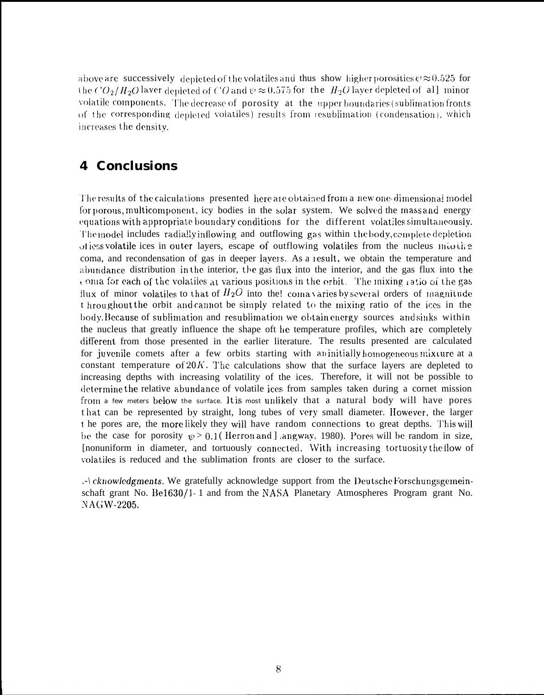above are successively depleted of the volatiles and thus show higher porosities  $v \approx 0.525$  for the  $CO_2/H_2O$  laver depleted of CO and  $\psi \approx 0.575$  for the  $H_2O$  layer depleted of all minor volatile components. The decrease of porosity at the upper boundaries (sublimation fronts of the corresponding depleted volatiles) results from resublimation (condensation), which increases the density.

## **4 Conclusions**

The results of the calculations presented here are obtained from a new one-dimensional model for porous, multicomponent, icy bodies in the solar system. We solved the mass and energy equations with appropriate boundary conditions for the different volatiles simultaneously. The model includes radially inflowing and outflowing gas within the body, complete depletion offering volatile ices in outer layers, escape of outflowing volatiles from the nucleus moving coma, and recondensation of gas in deeper layers. As a result, we obtain the temperature and abundance distribution in the interior, the gas flux into the interior, and the gas flux into the coma for each of the volatiles at various positions in the orbit. The mixing ratio of the gas flux of minor volatiles to that of  $H_2O$  into the! comavaries by several orders of magnitude t hroughout the orbit and cannot be simply related to the mixing ratio of the ices in the body. Because of sublimation and resublimation we obtain energy sources and sinks within the nucleus that greatly influence the shape oft he temperature profiles, which are completely different from those presented in the earlier literature. The results presented are calculated for juvenile comets after a few orbits starting with an initially homogeneous mixture at a constant temperature of  $20K$ . The calculations show that the surface layers are depleted to increasing depths with increasing volatility of the ices. Therefore, it will not be possible to determine the relative abundance of volatile ices from samples taken during a cornet mission from a few meters below the surface. It is most unlikely that a natural body will have pores t hat can be represented by straight, long tubes of very small diameter. However, the larger t he pores are, the more likely they will have random connections to great depths. This will be the case for porosity  $\psi > 0.1$  (Herron and Langway, 1980). Pores will be random in size, [nonuniform in diameter, and tortuously connected. With increasing tortuosity the flow of volatiles is reduced and the sublimation fronts are closer to the surface.

.- \ cknowledgments. We gratefully acknowledge support from the Deutsche Forschungsgemeinschaft grant No. Be1630/1-1 and from the NASA Planetary Atmospheres Program grant No. NAGW-2205.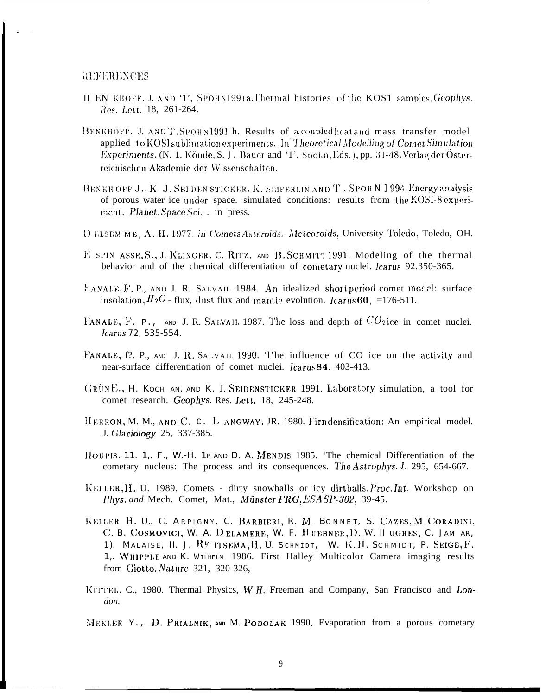**REFERENCES** 

- II EN KHOFF, J. AND '1', SPOHN1991a. Thermal histories of the KOS1 samples. Geophys. Res. Lett. 18, 261-264.
- BENKHOFF, J. ANDT. SPOHN1991 h. Results of a coupled heat and mass transfer model applied to KOSI sublimation experiments. In Theoretical Modelling of Comet Simulation Experiments, (N. 1. Kömle, S. J. Bauer and '1'. Spohn, Eds.), pp. 31-48. Verlag der Österreichischen Akademie der Wissenschaften.
- BENKH OFF J., K. J. SEI DEN STICKER, K. SEIFERLIN AND T. SPOHN J 994. Energy analysis of porous water ice under space. simulated conditions: results from the KOSI-8 experiment. Planet. Space Sci. . in press.
- D ELSEM ME, A. H. 1977. in Comets Asteroids. Meteoroids, University Toledo, Toledo, OH.
- E SPIN ASSE, S., J. KLINGER, C. RITZ, AND B. SCHMITT1991. Modeling of the thermal behavior and of the chemical differentiation of cometary nuclei. Icarus 92.350-365.
- FANALE, F. P., AND J. R. SALVAIL 1984. An idealized short period comet model: surface insolation,  $H_2O$  - flux, dust flux and mantle evolution. Icarus 60, =176-511.
- FANALE, F. P., AND J. R. SALVALL 1987. The loss and depth of  $CO_2$ ice in comet nuclei. Icarus 72, 535-554.
- FANALE, f?. P., AND J. R. SALVAIL 1990. 'l'he influence of CO ice on the activity and near-surface differentiation of comet nuclei. Icarus 84, 403-413.
- GRÜNE., H. KOCH AN, AND K. J. SEIDENSTICKER 1991. Laboratory simulation, a tool for comet research. Geophys. Res. Lett. 18, 245-248.
- HERRON, M. M., AND C. C. L ANGWAY, JR. 1980. Firn densification: An empirical model. J. Glaciology 25, 337-385.
- HOUPIS, 11. 1., F., W.-H. 1P AND D. A. MENDIS 1985. 'The chemical Differentiation of the cometary nucleus: The process and its consequences. The Astrophys. J. 295, 654-667.
- KELLER, H. U. 1989. Comets dirty snowballs or icy dirtballs. Proc. Int. Workshop on Phys. and Mech. Comet, Mat., Münster FRG, ESA SP-302, 39-45.
- KELLER H. U., C. ARPIGNY, C. BARBIERI, R. M. BONNET, S. CAZES, M. CORADINI, C. B. COSMOVICI, W. A. DELAMERE, W. F. HUEBNER, D. W. II UGHES, C. JAM AR, 1). MALAISE, II. J. RE ITSEMA, H. U. SCHMIDT, W. K.H. SCHMIDT, P. SEIGE, F. 1. WHIPPLE AND K. WILHELM 1986. First Halley Multicolor Camera imaging results from Giotto. Nature 321, 320-326.
- KITTEL, C., 1980. Thermal Physics, W.H. Freeman and Company, San Francisco and London.

MEKLER Y., D. PRIALNIK, AND M. PODOLAK 1990, Evaporation from a porous cometary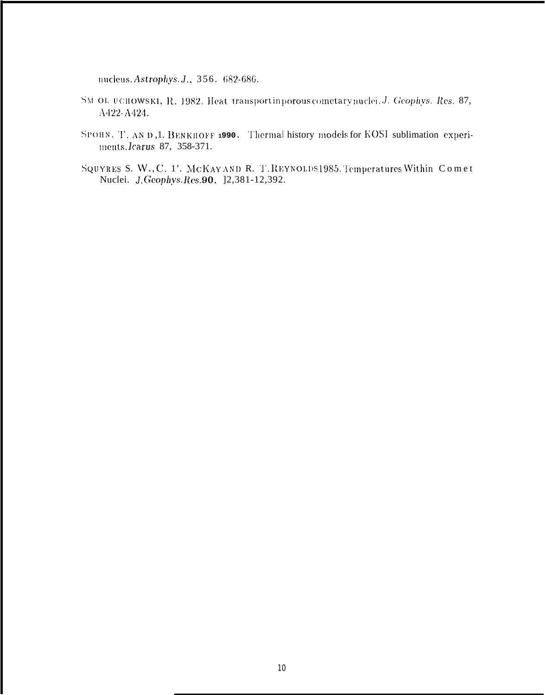nucleus. Astrophys. J., 356. 682-686.

- SM OL UCHOWSKI, R. 1982. Heat transportin porous cometary nuclei. J. Geophys. Res. 87, A422-A424.
- SPOHN, T. AND, 1. BENKHOFF 1990. Thermal history models for KOSI sublimation experiments.lcarus 87, 358-371.
- SQUYRES S. W., C. 1'. MCKAY AND R. T.REYNOLDS 1985. Temperatures Within Comet Nuclei. J. Geophys. Res. 90, 12,381-12,392.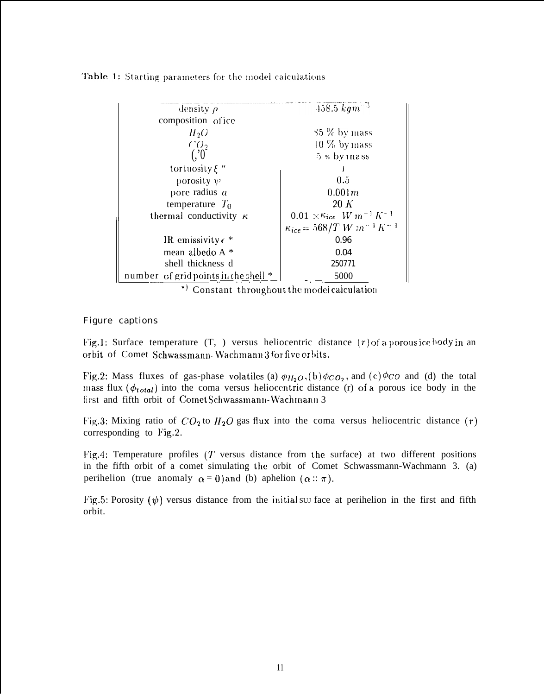Table 1: Starting parameters for the model calculations

| density $\rho$                                  | $458.5 \; \overline{kgm^{-3}}$          |
|-------------------------------------------------|-----------------------------------------|
| composition of ice                              |                                         |
| $H_2O$                                          | $35\%$ by mass                          |
| CO <sub>2</sub>                                 | $10\%$ by mass                          |
| $(.)^{\dagger}$                                 | $5 * by mass$                           |
| tortuosity $\xi$ "                              |                                         |
| porosity $\psi$                                 | 0.5                                     |
| pore radius $a$                                 | 0.001 m                                 |
| temperature $T_0$                               | 20 K                                    |
| thermal conductivity $\kappa$                   | $0.01 \times K_{ice}$ $W m^{-1} K^{-1}$ |
|                                                 | $\kappa_{ice} = 568/T W m^{-1} K^{-1}$  |
| IR emissivity $\epsilon$ *                      | 0.96                                    |
| mean albedo A *                                 | 0.04                                    |
| shell thickness d                               | 250771                                  |
| number of grid points in the shell *            | 5000                                    |
| $\star$ is a set of $\sim$ in the set of $\sim$ | .                                       |

Constant throughout the model calculation

#### **Figure captions**

Fig.1: Surface temperature  $(T, )$  versus heliocentric distance  $(r)$  of a porous ice body in an orbit of Comet Schwassmann-Wachmann 3 for five orbits.

Fig.2: Mass fluxes of gas-phase volatiles (a)  $\phi_{H_2O}$ , (b)  $\phi_{CO_2}$ , and (c)  $\phi_{CO}$  and (d) the total mass flux  $(\phi_{total})$  into the coma versus heliocentric distance (r) of a porous ice body in the first and fifth orbit of Comet Schwassmann-Wachmann 3

Fig.3: Mixing ratio of  $CO_2$  to  $H_2O$  gas flux into the coma versus heliocentric distance (r) corresponding to  $Fig.2$ .

Fig.4: Temperature profiles  $(T)$  versus distance from the surface) at two different positions in the fifth orbit of a comet simulating the orbit of Comet Schwassmann-Wachmann 3. (a) perihelion (true anomaly  $\alpha = 0$ ) and (b) aphelion ( $\alpha :: \pi$ ).

Fig.5: Porosity  $(\psi)$  versus distance from the initial surface at perihelion in the first and fifth orbit.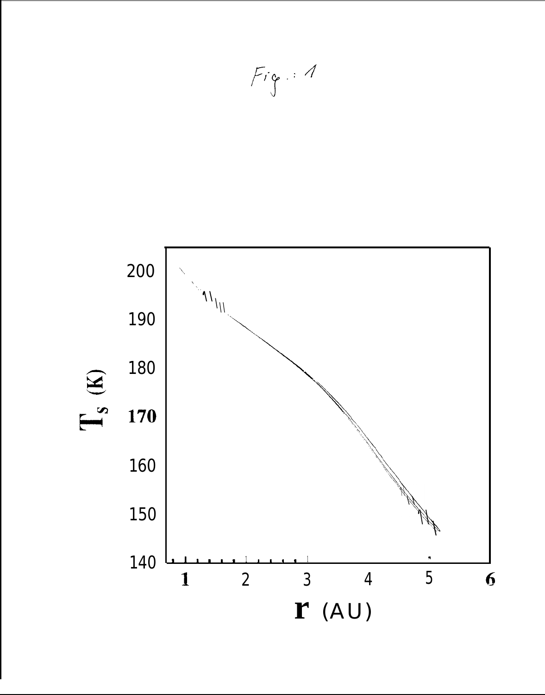

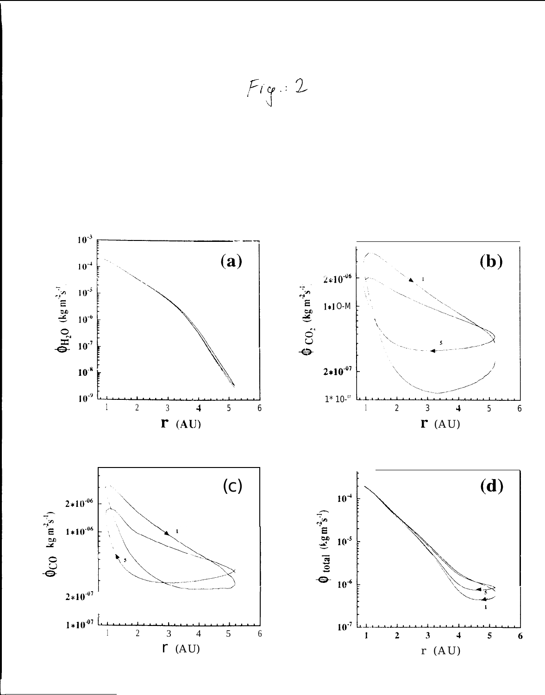

 $F$ ig: 2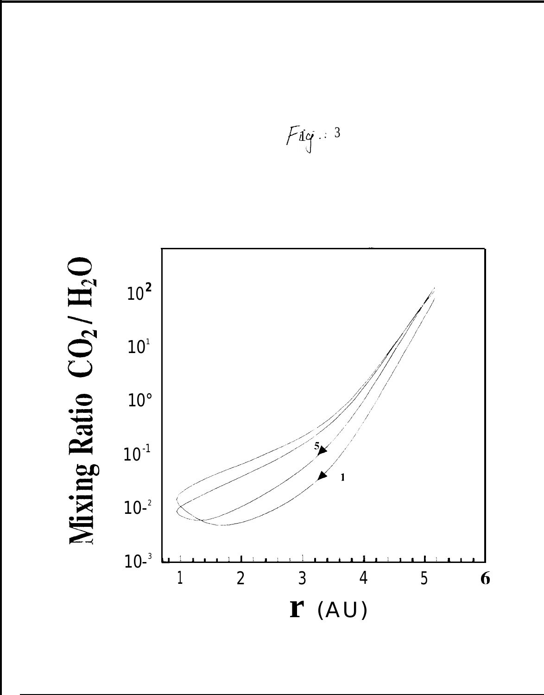

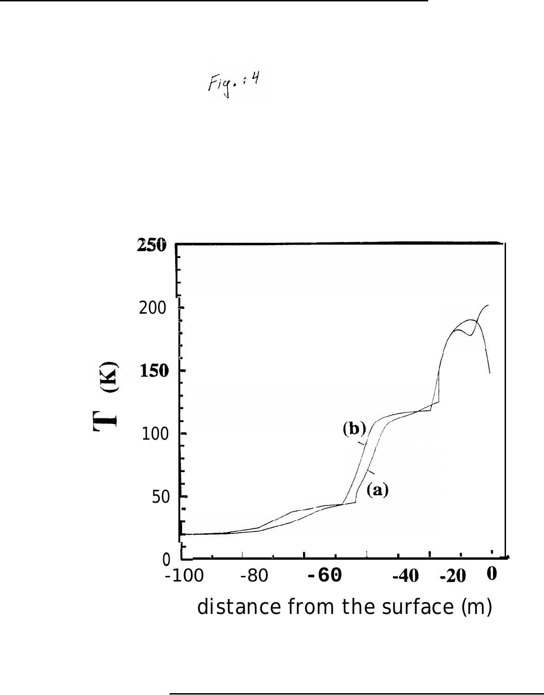